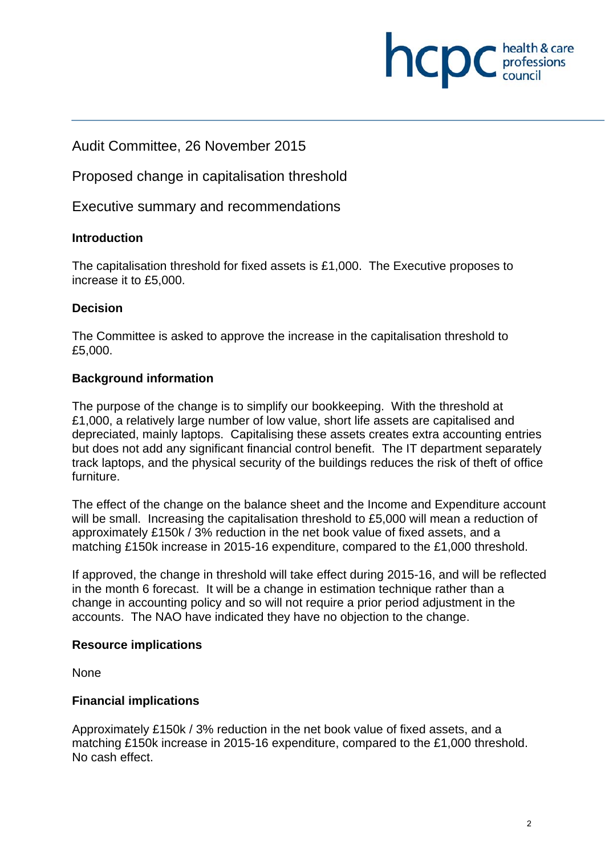Audit Committee, 26 November 2015

Proposed change in capitalisation threshold

Executive summary and recommendations

## **Introduction**

The capitalisation threshold for fixed assets is £1,000. The Executive proposes to increase it to £5,000.

## **Decision**

The Committee is asked to approve the increase in the capitalisation threshold to £5,000.

### **Background information**

The purpose of the change is to simplify our bookkeeping. With the threshold at £1,000, a relatively large number of low value, short life assets are capitalised and depreciated, mainly laptops. Capitalising these assets creates extra accounting entries but does not add any significant financial control benefit. The IT department separately track laptops, and the physical security of the buildings reduces the risk of theft of office furniture.

The effect of the change on the balance sheet and the Income and Expenditure account will be small. Increasing the capitalisation threshold to £5,000 will mean a reduction of approximately £150k / 3% reduction in the net book value of fixed assets, and a matching £150k increase in 2015-16 expenditure, compared to the £1,000 threshold.

If approved, the change in threshold will take effect during 2015-16, and will be reflected in the month 6 forecast. It will be a change in estimation technique rather than a change in accounting policy and so will not require a prior period adjustment in the accounts. The NAO have indicated they have no objection to the change.

#### **Resource implications**

None

#### **Financial implications**

Approximately £150k / 3% reduction in the net book value of fixed assets, and a matching £150k increase in 2015-16 expenditure, compared to the £1,000 threshold. No cash effect.

health & care

**INCDC** *professions*